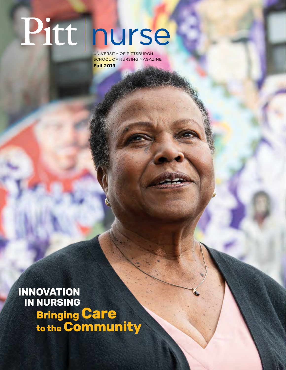## Pitt nurse

UNIVERSITY OF PITTSBURGH SCHOOL OF NURSING MAGAZINE **Fall 2019**

**INNOVATION IN NURSING Bringing Care to the Community**

PITT NURSE FALL 2019 1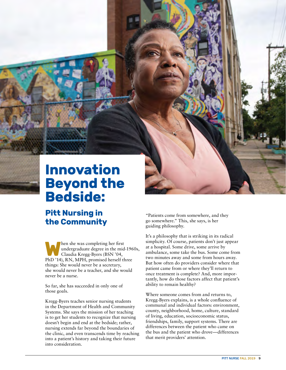## **Innovation Beyond the Bedside:**

## **Pitt Nursing in the Community**

**W**hen she was completing her first undergraduate degree in the mid-1960s, Claudia Kregg-Byers (BSN '04, PhD '14), RN, MPH, promised herself three things: She would never be a secretary, she would never be a teacher, and she would never be a nurse.

So far, she has succeeded in only one of those goals.

Kregg-Byers teaches senior nursing students in the Department of Health and Community Systems. She says the mission of her teaching is to get her students to recognize that nursing doesn't begin and end at the bedside; rather, nursing extends far beyond the boundaries of the clinic, and even transcends time by reaching into a patient's history and taking their future into consideration.

"Patients come from somewhere, and they go somewhere." This, she says, is her guiding philosophy.

It's a philosophy that is striking in its radical simplicity. Of course, patients don't just appear at a hospital. Some drive, some arrive by ambulance, some take the bus. Some come from two minutes away and some from hours away. But how often do providers consider where that patient came from or where they'll return to once treatment is complete? And, more importantly, how do those factors affect that patient's ability to remain healthy?

Where someone comes from and returns to, Kregg-Byers explains, is a whole confluence of communal and individual factors: environment, county, neighborhood, home, culture, standard of living, education, socioeconomic status, friendships, family, support systems. There are differences between the patient who came on the bus and the patient who drove—differences that merit providers' attention.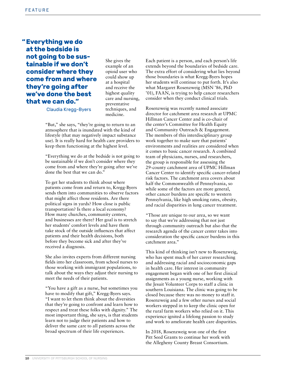## **"Everything we do at the bedside is not going to be sustainable if we don't consider where they come from and where they're going after we've done the best that we can do."**

She gives the example of an opioid user who could show up at a hospital and receive the highest quality care and nursing, preventative techniques, and medicine.

Claudia Kregg-Byers

"But," she says, "they're going to return to an atmosphere that is inundated with the kind of lifestyle (that may negatively impact substance use). It is really hard for health care providers to keep them functioning at the highest level.

"Everything we do at the bedside is not going to be sustainable if we don't consider where they come from and where they're going after we've done the best that we can do."

To get her students to think about where patients come from and return to, Kregg-Byers sends them into communities to observe factors that might affect those residents. Are there political signs in yards? How close is public transportation? Is there a local economy? How many churches, community centers, and businesses are there? Her goal is to stretch her students' comfort levels and have them take stock of the outside influences that affect patients and their health decisions, both before they become sick and after they've received a diagnosis.

She also invites experts from different nursing fields into her classroom, from school nurses to those working with immigrant populations, to talk about the ways they adjust their nursing to meet the needs of their patients.

"You have a gift as a nurse, but sometimes you have to modify that gift," Kregg-Byers says. "I want to let them think about the diversities that they're going to confront and learn how to respect and treat these folks with dignity." The most important thing, she says, is that students learn not to judge their patients and how to deliver the same care to all patients across the broad spectrum of their life experiences.

Each patient is a person, and each person's life extends beyond the boundaries of bedside care. The extra effort of considering what lies beyond those boundaries is what Kregg-Byers hopes her students will continue to put forth. It's also what Margaret Rosenzweig (MSN '86, PhD '01), FAAN, is trying to help cancer researchers consider when they conduct clinical trials.

Rosenzweig was recently named associate director for catchment area research at UPMC Hillman Cancer Center and is co-chair of the center's Committee for Health Equity and Community Outreach & Engagement. The members of this interdisciplinary group work together to make sure that patients' environments and realities are considered when it comes to basic cancer research. A combined team of physicians, nurses, and researchers, the group is responsible for assessing the 29-county catchment area of UPMC Hillman Cancer Center to identify specific cancer-related risk factors. The catchment area covers about half the Commonwealth of Pennsylvania, so while some of the factors are more general, other cancer burdens are specific to western Pennsylvania, like high smoking rates, obesity, and racial disparities in lung cancer treatment.

"Those are unique to our area, so we want to say that we're addressing that not just through community outreach but also that the research agenda of the cancer center takes into consideration the specific cancer burdens in this catchment area."

This kind of thinking isn't new to Rosenzweig, who has spent much of her career researching and addressing racial and socioeconomic gaps in health care. Her interest in community engagement began with one of her first clinical assignments as a young nurse, working with the Jesuit Volunteer Corps to staff a clinic in southern Louisiana. The clinic was going to be closed because there was no money to staff it. Rosenzweig and a few other nurses and social workers stepped in to keep the clinic open for the rural farm workers who relied on it. This experience ignited a lifelong passion to study and work to ameliorate health care disparities.

In 2018, Rosenzweig won one of the first Pitt Seed Grants to continue her work with the Allegheny County Breast Consortium.